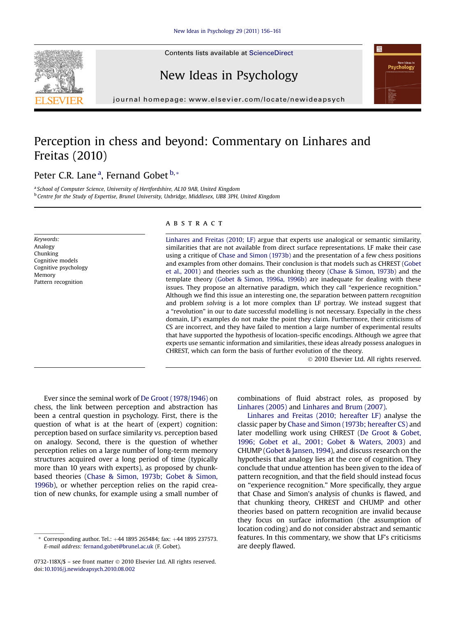Contents lists available at [ScienceDirect](www.sciencedirect.com/science/journal/0732118X)





New Ideas in Psychology

journal homepage: [www.elsevier.com/locate/newideapsych](http://www.elsevier.com/locate/newideapsych)

# Perception in chess and beyond: Commentary on Linhares and Freitas (2010)

# Peter C.R. Lane<sup>a</sup>, Fernand Gobet <sup>b,\*</sup>

<sup>a</sup> School of Computer Science, University of Hertfordshire, AL10 9AB, United Kingdom <sup>b</sup> Centre for the Study of Expertise, Brunel University, Uxbridge, Middlesex, UB8 3PH, United Kingdom

Keywords: Analogy Chunking Cognitive models Cognitive psychology Memory Pattern recognition

#### **ABSTRACT**

[Linhares and Freitas \(2010; LF\)](#page-5-0) argue that experts use analogical or semantic similarity, similarities that are not available from direct surface representations. LF make their case using a critique of [Chase and Simon \(1973b\)](#page-4-0) and the presentation of a few chess positions and examples from other domains. Their conclusion is that models such as CHREST [\(Gobet](#page-4-0) [et al., 2001](#page-4-0)) and theories such as the chunking theory [\(Chase & Simon, 1973b\)](#page-4-0) and the template theory [\(Gobet & Simon, 1996a, 1996b\)](#page-4-0) are inadequate for dealing with these issues. They propose an alternative paradigm, which they call "experience recognition." Although we find this issue an interesting one, the separation between pattern recognition and problem solving is a lot more complex than LF portray. We instead suggest that a "revolution" in our to date successful modelling is not necessary. Especially in the chess domain, LF's examples do not make the point they claim. Furthermore, their criticisms of CS are incorrect, and they have failed to mention a large number of experimental results that have supported the hypothesis of location-specific encodings. Although we agree that experts use semantic information and similarities, these ideas already possess analogues in CHREST, which can form the basis of further evolution of the theory.

2010 Elsevier Ltd. All rights reserved.

Ever since the seminal work of [De Groot \(1978/1946\)](#page-4-0) on chess, the link between perception and abstraction has been a central question in psychology. First, there is the question of what is at the heart of (expert) cognition: perception based on surface similarity vs. perception based on analogy. Second, there is the question of whether perception relies on a large number of long-term memory structures acquired over a long period of time (typically more than 10 years with experts), as proposed by chunkbased theories ([Chase & Simon, 1973b; Gobet & Simon,](#page-4-0) [1996b](#page-4-0)), or whether perception relies on the rapid creation of new chunks, for example using a small number of combinations of fluid abstract roles, as proposed by [Linhares \(2005\)](#page-5-0) and [Linhares and Brum \(2007\)](#page-5-0).

[Linhares and Freitas \(2010; hereafter LF\)](#page-5-0) analyse the classic paper by [Chase and Simon \(1973b; hereafter CS\)](#page-4-0) and later modelling work using CHREST ([De Groot & Gobet,](#page-4-0) [1996; Gobet et al., 2001; Gobet & Waters, 2003](#page-4-0)) and CHUMP [\(Gobet & Jansen, 1994](#page-4-0)), and discuss research on the hypothesis that analogy lies at the core of cognition. They conclude that undue attention has been given to the idea of pattern recognition, and that the field should instead focus on "experience recognition." More specifically, they argue that Chase and Simon's analysis of chunks is flawed, and that chunking theory, CHREST and CHUMP and other theories based on pattern recognition are invalid because they focus on surface information (the assumption of location coding) and do not consider abstract and semantic features. In this commentary, we show that LF's criticisms are deeply flawed.

 $*$  Corresponding author. Tel.:  $+44$  1895 265484; fax:  $+44$  1895 237573. E-mail address: [fernand.gobet@brunel.ac.uk](mailto:fernand.gobet@brunel.ac.uk) (F. Gobet).

<sup>0732-118</sup>X/\$ - see front matter © 2010 Elsevier Ltd. All rights reserved. doi:[10.1016/j.newideapsych.2010.08.002](http://dx.doi.org/10.1016/j.newideapsych.2010.08.002)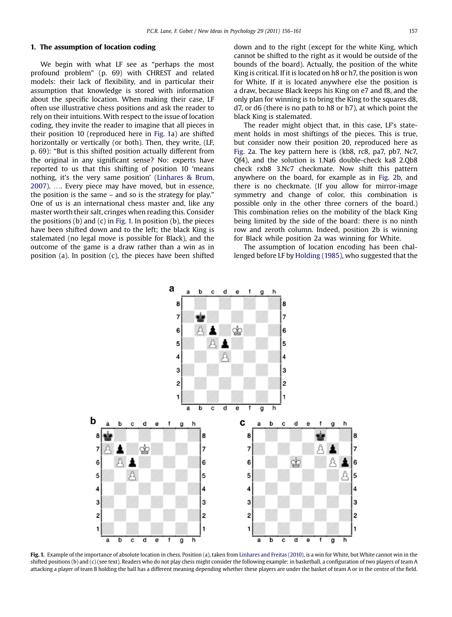### 1. The assumption of location coding

We begin with what LF see as "perhaps the most profound problem" (p. 69) with CHREST and related models: their lack of flexibility, and in particular their assumption that knowledge is stored with information about the specific location. When making their case, LF often use illustrative chess positions and ask the reader to rely on their intuitions. With respect to the issue of location coding, they invite the reader to imagine that all pieces in their position 10 (reproduced here in Fig. 1a) are shifted horizontally or vertically (or both). Then, they write, (LF, p. 69): "But is this shifted position actually different from the original in any significant sense? No: experts have reported to us that this shifting of position 10 'means nothing, it's the very same position' [\(Linhares & Brum,](#page-5-0) [2007](#page-5-0)). .... Every piece may have moved, but in essence, the position is the same – and so is the strategy for play." One of us is an international chess master and, like any master worth their salt, cringes when reading this. Consider the positions  $(b)$  and  $(c)$  in Fig. 1. In position  $(b)$ , the pieces have been shifted down and to the left; the black King is stalemated (no legal move is possible for Black), and the outcome of the game is a draw rather than a win as in position (a). In position (c), the pieces have been shifted down and to the right (except for the white King, which cannot be shifted to the right as it would be outside of the bounds of the board). Actually, the position of the white King is critical. If it is located on h8 or h7, the position is won for White. If it is located anywhere else the position is a draw, because Black keeps his King on e7 and f8, and the only plan for winning is to bring the King to the squares d8, d7, or d6 (there is no path to h8 or h7), at which point the black King is stalemated.

The reader might object that, in this case, LF's statement holds in most shiftings of the pieces. This is true, but consider now their position 20, reproduced here as [Fig. 2](#page-2-0)a. The key pattern here is (kb8, rc8, pa7, pb7, Nc7, Qf4), and the solution is 1.Na6 double-check ka8 2.Qb8 check rxb8 3.Nc7 checkmate. Now shift this pattern anywhere on the board, for example as in [Fig. 2](#page-2-0)b, and there is no checkmate. (If you allow for mirror-image symmetry and change of color, this combination is possible only in the other three corners of the board.) This combination relies on the mobility of the black King being limited by the side of the board: there is no ninth row and zeroth column. Indeed, position 2b is winning for Black while position 2a was winning for White.

The assumption of location encoding has been challenged before LF by [Holding \(1985\)](#page-5-0), who suggested that the



Fig. 1. Example of the importance of absolute location in chess. Position (a), taken from [Linhares and Freitas \(2010\),](#page-5-0) is a win for White, but White cannot win in the shifted positions (b) and (c) (see text). Readers who do not play chess might consider the following example: in basketball, a configuration of two players of team A attacking a player of team B holding the ball has a different meaning depending whether these players are under the basket of team A or in the centre of the field.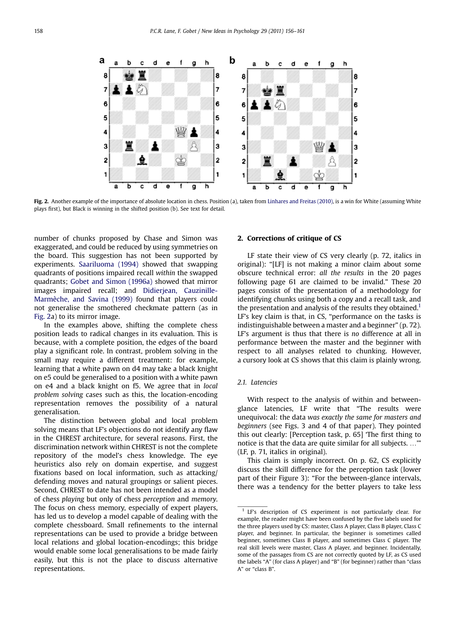<span id="page-2-0"></span>

Fig. 2. Another example of the importance of absolute location in chess. Position (a), taken from [Linhares and Freitas \(2010\),](#page-5-0) is a win for White (assuming White plays first), but Black is winning in the shifted position (b). See text for detail.

number of chunks proposed by Chase and Simon was exaggerated, and could be reduced by using symmetries on the board. This suggestion has not been supported by experiments. [Saariluoma \(1994\)](#page-5-0) showed that swapping quadrants of positions impaired recall within the swapped quadrants; [Gobet and Simon \(1996a\)](#page-4-0) showed that mirror images impaired recall; and [Didierjean, Cauzinille-](#page-4-0)[Marmèche, and Savina \(1999\)](#page-4-0) found that players could not generalise the smothered checkmate pattern (as in Fig. 2a) to its mirror image.

In the examples above, shifting the complete chess position leads to radical changes in its evaluation. This is because, with a complete position, the edges of the board play a significant role. In contrast, problem solving in the small may require a different treatment: for example, learning that a white pawn on d4 may take a black knight on e5 could be generalised to a position with a white pawn on e4 and a black knight on f5. We agree that in local problem solving cases such as this, the location-encoding representation removes the possibility of a natural generalisation.

The distinction between global and local problem solving means that LF's objections do not identify any flaw in the CHREST architecture, for several reasons. First, the discrimination network within CHREST is not the complete repository of the model's chess knowledge. The eye heuristics also rely on domain expertise, and suggest fixations based on local information, such as attacking/ defending moves and natural groupings or salient pieces. Second, CHREST to date has not been intended as a model of chess playing but only of chess perception and memory. The focus on chess memory, especially of expert players, has led us to develop a model capable of dealing with the complete chessboard. Small refinements to the internal representations can be used to provide a bridge between local relations and global location-encodings; this bridge would enable some local generalisations to be made fairly easily, but this is not the place to discuss alternative representations.

#### 2. Corrections of critique of CS

LF state their view of CS very clearly (p. 72, italics in original): "[LF] is not making a minor claim about some obscure technical error: all the results in the 20 pages following page 61 are claimed to be invalid." These 20 pages consist of the presentation of a methodology for identifying chunks using both a copy and a recall task, and the presentation and analysis of the results they obtained.<sup>1</sup> LF's key claim is that, in CS, "performance on the tasks is indistinguishable between a master and a beginner" (p. 72). LF's argument is thus that there is no difference at all in performance between the master and the beginner with respect to all analyses related to chunking. However, a cursory look at CS shows that this claim is plainly wrong.

#### 2.1. Latencies

With respect to the analysis of within and betweenglance latencies, LF write that "The results were unequivocal: the data was exactly the same for masters and beginners (see Figs. 3 and 4 of that paper). They pointed this out clearly: [Perception task, p. 65] 'The first thing to notice is that the data are quite similar for all subjects. ..." (LF, p. 71, italics in original).

This claim is simply incorrect. On p. 62, CS explicitly discuss the skill difference for the perception task (lower part of their Figure 3): "For the between-glance intervals, there was a tendency for the better players to take less

<sup>&</sup>lt;sup>1</sup> LF's description of CS experiment is not particularly clear. For example, the reader might have been confused by the five labels used for the three players used by CS: master, Class A player, Class B player, Class C player, and beginner. In particular, the beginner is sometimes called beginner, sometimes Class B player, and sometimes Class C player. The real skill levels were master, Class A player, and beginner. Incidentally, some of the passages from CS are not correctly quoted by LF, as CS used the labels "A" (for class A player) and "B" (for beginner) rather than "class A" or "class B".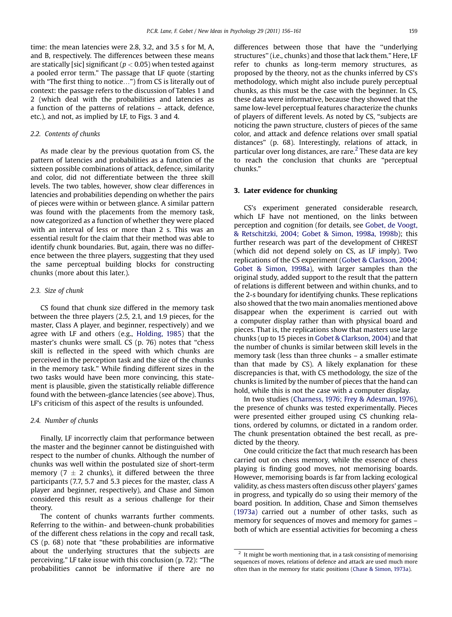time: the mean latencies were 2.8, 3.2, and 3.5 s for M, A, and B, respectively. The differences between these means are statically [sic] significant ( $p < 0.05$ ) when tested against a pooled error term." The passage that LF quote (starting with "The first thing to notice...") from CS is literally out of context: the passage refers to the discussion of Tables 1 and 2 (which deal with the probabilities and latencies as a function of the patterns of relations – attack, defence, etc.), and not, as implied by LF, to Figs. 3 and 4.

#### 2.2. Contents of chunks

As made clear by the previous quotation from CS, the pattern of latencies and probabilities as a function of the sixteen possible combinations of attack, defence, similarity and color, did not differentiate between the three skill levels. The two tables, however, show clear differences in latencies and probabilities depending on whether the pairs of pieces were within or between glance. A similar pattern was found with the placements from the memory task, now categorized as a function of whether they were placed with an interval of less or more than 2 s. This was an essential result for the claim that their method was able to identify chunk boundaries. But, again, there was no difference between the three players, suggesting that they used the same perceptual building blocks for constructing chunks (more about this later.).

#### 2.3. Size of chunk

CS found that chunk size differed in the memory task between the three players (2.5, 2.1, and 1.9 pieces, for the master, Class A player, and beginner, respectively) and we agree with LF and others (e.g., [Holding, 1985\)](#page-5-0) that the master's chunks were small. CS (p. 76) notes that "chess skill is reflected in the speed with which chunks are perceived in the perception task and the size of the chunks in the memory task." While finding different sizes in the two tasks would have been more convincing, this statement is plausible, given the statistically reliable difference found with the between-glance latencies (see above). Thus, LF's criticism of this aspect of the results is unfounded.

#### 2.4. Number of chunks

Finally, LF incorrectly claim that performance between the master and the beginner cannot be distinguished with respect to the number of chunks. Although the number of chunks was well within the postulated size of short-term memory (7  $\pm$  2 chunks), it differed between the three participants (7.7, 5.7 and 5.3 pieces for the master, class A player and beginner, respectively), and Chase and Simon considered this result as a serious challenge for their theory.

The content of chunks warrants further comments. Referring to the within- and between-chunk probabilities of the different chess relations in the copy and recall task, CS (p. 68) note that "these probabilities are informative about the underlying structures that the subjects are perceiving." LF take issue with this conclusion (p. 72): "The probabilities cannot be informative if there are no

differences between those that have the ''underlying structures'' (i.e., chunks) and those that lack them." Here, LF refer to chunks as long-term memory structures, as proposed by the theory, not as the chunks inferred by CS's methodology, which might also include purely perceptual chunks, as this must be the case with the beginner. In CS, these data were informative, because they showed that the same low-level perceptual features characterize the chunks of players of different levels. As noted by CS, "subjects are noticing the pawn structure, clusters of pieces of the same color, and attack and defence relations over small spatial distances" (p. 68). Interestingly, relations of attack, in particular over long distances, are rare. $<sup>2</sup>$  These data are key</sup> to reach the conclusion that chunks are "perceptual chunks."

#### 3. Later evidence for chunking

CS's experiment generated considerable research, which LF have not mentioned, on the links between perception and cognition (for details, see [Gobet, de Voogt,](#page-4-0) [& Retschitzki, 2004; Gobet & Simon, 1998a, 1998b](#page-4-0)); this further research was part of the development of CHREST (which did not depend solely on CS, as LF imply). Two replications of the CS experiment ([Gobet & Clarkson, 2004;](#page-4-0) [Gobet & Simon, 1998a](#page-4-0)), with larger samples than the original study, added support to the result that the pattern of relations is different between and within chunks, and to the 2-s boundary for identifying chunks. These replications also showed that the two main anomalies mentioned above disappear when the experiment is carried out with a computer display rather than with physical board and pieces. That is, the replications show that masters use large chunks (up to 15 pieces in [Gobet & Clarkson, 2004](#page-4-0)) and that the number of chunks is similar between skill levels in the memory task (less than three chunks – a smaller estimate than that made by CS). A likely explanation for these discrepancies is that, with CS methodology, the size of the chunks is limited by the number of pieces that the hand can hold, while this is not the case with a computer display.

In two studies [\(Charness, 1976; Frey & Adesman, 1976](#page-4-0)), the presence of chunks was tested experimentally. Pieces were presented either grouped using CS chunking relations, ordered by columns, or dictated in a random order. The chunk presentation obtained the best recall, as predicted by the theory.

One could criticize the fact that much research has been carried out on chess memory, while the essence of chess playing is finding good moves, not memorising boards. However, memorising boards is far from lacking ecological validity, as chess masters often discuss other players' games in progress, and typically do so using their memory of the board position. In addition, Chase and Simon themselves [\(1973a\)](#page-4-0) carried out a number of other tasks, such as memory for sequences of moves and memory for games – both of which are essential activities for becoming a chess

 $^{\rm 2}$  It might be worth mentioning that, in a task consisting of memorising sequences of moves, relations of defence and attack are used much more often than in the memory for static positions [\(Chase & Simon, 1973a](#page-4-0)).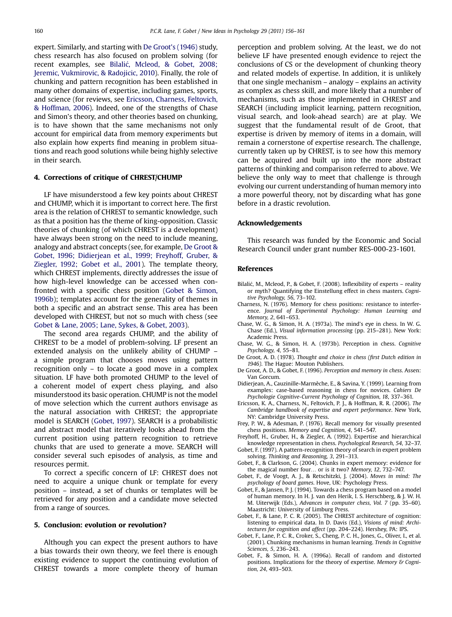<span id="page-4-0"></span>expert. Similarly, and starting with De Groot's (1946) study, chess research has also focused on problem solving (for recent examples, see Bilalić, Mcleod, & Gobet, 2008; Jeremic, Vukmirovic, & Radojicic, 2010). Finally, the role of chunking and pattern recognition has been established in many other domains of expertise, including games, sports, and science (for reviews, see Ericsson, Charness, Feltovich, & Hoffman, 2006). Indeed, one of the strengths of Chase and Simon's theory, and other theories based on chunking, is to have shown that the same mechanisms not only account for empirical data from memory experiments but also explain how experts find meaning in problem situations and reach good solutions while being highly selective in their search.

## 4. Corrections of critique of CHREST/CHUMP

LF have misunderstood a few key points about CHREST and CHUMP, which it is important to correct here. The first area is the relation of CHREST to semantic knowledge, such as that a position has the theme of king-opposition. Classic theories of chunking (of which CHREST is a development) have always been strong on the need to include meaning, analogy and abstract concepts (see, for example, De Groot & Gobet, 1996; Didierjean et al., 1999; Freyhoff, Gruber, & Ziegler, 1992; Gobet et al., 2001). The template theory, which CHREST implements, directly addresses the issue of how high-level knowledge can be accessed when confronted with a specific chess position [\(Gobet & Simon,](#page-5-0) [1996b](#page-5-0)); templates account for the generality of themes in both a specific and an abstract sense. This area has been developed with CHREST, but not so much with chess (see Gobet & Lane, 2005; Lane, Sykes, & Gobet, 2003).

The second area regards CHUMP, and the ability of CHREST to be a model of problem-solving. LF present an extended analysis on the unlikely ability of CHUMP – a simple program that chooses moves using pattern recognition only – to locate a good move in a complex situation. LF have both promoted CHUMP to the level of a coherent model of expert chess playing, and also misunderstood its basic operation. CHUMP is not the model of move selection which the current authors envisage as the natural association with CHREST; the appropriate model is SEARCH (Gobet, 1997). SEARCH is a probabilistic and abstract model that iteratively looks ahead from the current position using pattern recognition to retrieve chunks that are used to generate a move. SEARCH will consider several such episodes of analysis, as time and resources permit.

To correct a specific concern of LF: CHREST does not need to acquire a unique chunk or template for every position – instead, a set of chunks or templates will be retrieved for any position and a candidate move selected from a range of sources.

#### 5. Conclusion: evolution or revolution?

Although you can expect the present authors to have a bias towards their own theory, we feel there is enough existing evidence to support the continuing evolution of CHREST towards a more complete theory of human

perception and problem solving. At the least, we do not believe LF have presented enough evidence to reject the conclusions of CS or the development of chunking theory and related models of expertise. In addition, it is unlikely that one single mechanism – analogy – explains an activity as complex as chess skill, and more likely that a number of mechanisms, such as those implemented in CHREST and SEARCH (including implicit learning, pattern recognition, visual search, and look-ahead search) are at play. We suggest that the fundamental result of de Groot, that expertise is driven by memory of items in a domain, will remain a cornerstone of expertise research. The challenge, currently taken up by CHREST, is to see how this memory can be acquired and built up into the more abstract patterns of thinking and comparison referred to above. We believe the only way to meet that challenge is through evolving our current understanding of human memory into a more powerful theory, not by discarding what has gone before in a drastic revolution.

#### Acknowledgements

This research was funded by the Economic and Social Research Council under grant number RES-000-23-1601.

#### References

- Bilalić, M., Mcleod, P., & Gobet, F. (2008). Inflexibility of experts reality or myth? Quantifying the Einstellung effect in chess masters. Cognitive Psychology, 56, 73–102.
- Charness, N. (1976). Memory for chess positions: resistance to interference. Journal of Experimental Psychology: Human Learning and Memory, 2, 641–653.
- Chase, W. G., & Simon, H. A. (1973a). The mind's eye in chess. In W. G. Chase (Ed.), Visual information processing (pp. 215–281). New York: Academic Press.
- Chase, W. G., & Simon, H. A. (1973b). Perception in chess. Cognitive Psychology, 4, 55–81.
- De Groot, A. D. (1978). Thought and choice in chess (first Dutch edition in 1946). The Hague: Mouton Publishers.
- De Groot, A. D., & Gobet, F. (1996). Perception and memory in chess. Assen: Van Gorcum.
- Didierjean, A., Cauzinille-Marmèche, E., & Savina, Y. (1999). Learning from examples: case-based reasoning in chess for novices. Cahiers De Psychologie Cognitive-Current Psychology of Cognition, 18, 337–361.
- Ericsson, K. A., Charness, N., Feltovich, P. J., & Hoffman, R. R. (2006). The Cambridge handbook of expertise and expert performance. New York, NY: Cambridge University Press.
- Frey, P. W., & Adesman, P. (1976). Recall memory for visually presented chess positions. Memory and Cognition, 4, 541–547.
- Freyhoff, H., Gruber, H., & Ziegler, A. (1992). Expertise and hierarchical knowledge representation in chess. Psychological Research, 54, 32–37.
- Gobet, F. (1997). A pattern-recognition theory of search in expert problem solving. Thinking and Reasoning, 3, 291–313.
- Gobet, F., & Clarkson, G. (2004). Chunks in expert memory: evidence for the magical number four... or is it two? Memory, 12, 732-747.
- Gobet, F., de Voogt, A. J., & Retschitzki, J. (2004). Moves in mind: The psychology of board games. Hove, UK: Psychology Press.
- Gobet, F., & Jansen, P. J. (1994). Towards a chess program based on a model of human memory. In H. J. van den Herik, I. S. Herschberg, & J. W. H. M. Uiterwijk (Eds.), Advances in computer chess, Vol. 7 (pp. 35–60). Maastricht: University of Limburg Press.
- Gobet, F., & Lane, P. C. R. (2005). The CHREST architecture of cognition: listening to empirical data. In D. Davis (Ed.), Visions of mind: Architectures for cognition and affect (pp. 204–224). Hershey, PA: IPS.
- Gobet, F., Lane, P. C. R., Croker, S., Cheng, P. C. H., Jones, G., Oliver, I., et al. (2001). Chunking mechanisms in human learning. Trends in Cognitive Sciences, 5, 236–243.
- Gobet, F., & Simon, H. A. (1996a). Recall of random and distorted positions. Implications for the theory of expertise. Memory & Cognition, 24, 493–503.